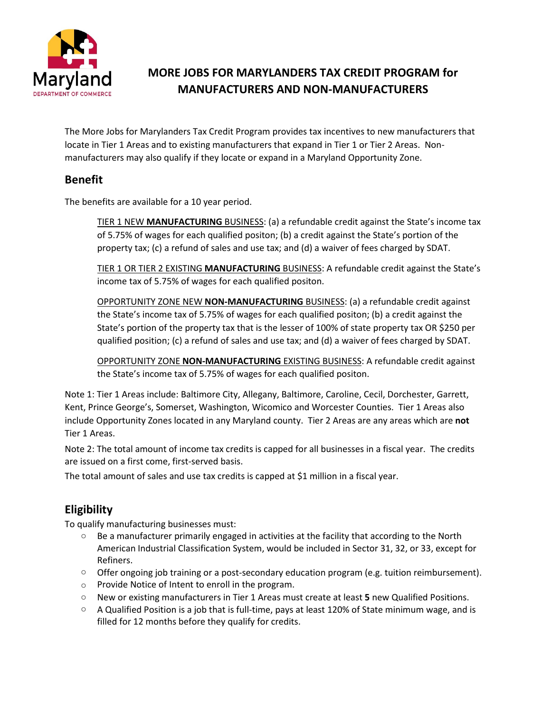

# **MORE JOBS FOR MARYLANDERS TAX CREDIT PROGRAM for MANUFACTURERS AND NON-MANUFACTURERS**

The More Jobs for Marylanders Tax Credit Program provides tax incentives to new manufacturers that locate in Tier 1 Areas and to existing manufacturers that expand in Tier 1 or Tier 2 Areas. Nonmanufacturers may also qualify if they locate or expand in a Maryland Opportunity Zone.

#### **Benefit**

The benefits are available for a 10 year period.

TIER 1 NEW **MANUFACTURING** BUSINESS: (a) a refundable credit against the State's income tax of 5.75% of wages for each qualified positon; (b) a credit against the State's portion of the property tax; (c) a refund of sales and use tax; and (d) a waiver of fees charged by SDAT.

TIER 1 OR TIER 2 EXISTING **MANUFACTURING** BUSINESS: A refundable credit against the State's income tax of 5.75% of wages for each qualified positon.

OPPORTUNITY ZONE NEW **NON-MANUFACTURING** BUSINESS: (a) a refundable credit against the State's income tax of 5.75% of wages for each qualified positon; (b) a credit against the State's portion of the property tax that is the lesser of 100% of state property tax OR \$250 per qualified position; (c) a refund of sales and use tax; and (d) a waiver of fees charged by SDAT.

OPPORTUNITY ZONE **NON-MANUFACTURING** EXISTING BUSINESS: A refundable credit against the State's income tax of 5.75% of wages for each qualified positon.

Note 1: Tier 1 Areas include: Baltimore City, Allegany, Baltimore, Caroline, Cecil, Dorchester, Garrett, Kent, Prince George's, Somerset, Washington, Wicomico and Worcester Counties. Tier 1 Areas also include Opportunity Zones located in any Maryland county. Tier 2 Areas are any areas which are **not** Tier 1 Areas.

Note 2: The total amount of income tax credits is capped for all businesses in a fiscal year. The credits are issued on a first come, first-served basis.

The total amount of sales and use tax credits is capped at \$1 million in a fiscal year.

## **Eligibility**

To qualify manufacturing businesses must:

- $\circ$  Be a manufacturer primarily engaged in activities at the facility that according to the North American Industrial Classification System, would be included in Sector 31, 32, or 33, except for Refiners.
- $\circ$  Offer ongoing job training or a post-secondary education program (e.g. tuition reimbursement).
- o Provide Notice of Intent to enroll in the program.
- o New or existing manufacturers in Tier 1 Areas must create at least **5** new Qualified Positions.
- $\circ$  A Qualified Position is a job that is full-time, pays at least 120% of State minimum wage, and is filled for 12 months before they qualify for credits.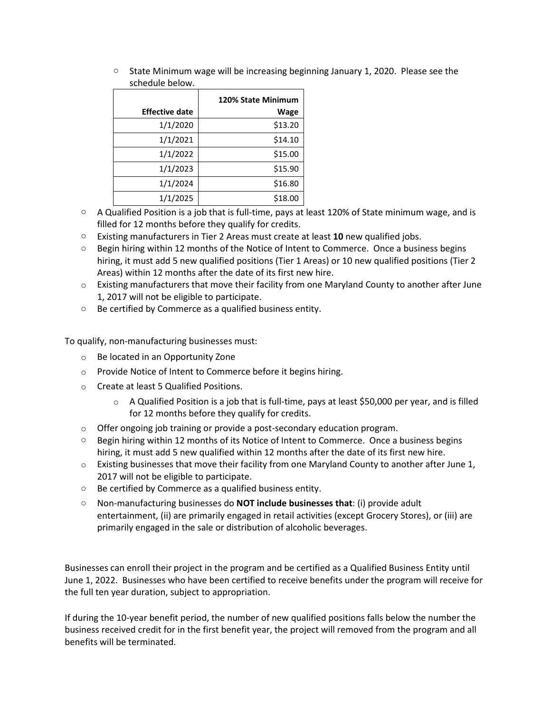| <b>JUILUUL DEIUW.</b> |                    |
|-----------------------|--------------------|
|                       | 120% State Minimum |
| <b>Effective date</b> | Wage               |
| 1/1/2020              | \$13.20            |
| 1/1/2021              | \$14.10            |
| 1/1/2022              | \$15.00            |
| 1/1/2023              | \$15.90            |
| 1/1/2024              | \$16.80            |
| 1/1/2025              | \$18.00            |

 $\circ$  State Minimum wage will be increasing beginning January 1, 2020. Please see the schedule below.

- $\circ$  A Qualified Position is a job that is full-time, pays at least 120% of State minimum wage, and is filled for 12 months before they qualify for credits.
- o Existing manufacturers in Tier 2 Areas must create at least **10** new qualified jobs.
- $\circ$  Begin hiring within 12 months of the Notice of Intent to Commerce. Once a business begins hiring, it must add 5 new qualified positions (Tier 1 Areas) or 10 new qualified positions (Tier 2 Areas) within 12 months after the date of its first new hire.
- $\circ$  Existing manufacturers that move their facility from one Maryland County to another after June 1, 2017 will not be eligible to participate.
- o Be certified by Commerce as a qualified business entity.

To qualify, non-manufacturing businesses must:

- o Be located in an Opportunity Zone
- o Provide Notice of Intent to Commerce before it begins hiring.
- o Create at least 5 Qualified Positions.
	- $\circ$  A Qualified Position is a job that is full-time, pays at least \$50,000 per year, and is filled for 12 months before they qualify for credits.
- o Offer ongoing job training or provide a post-secondary education program.
- o Begin hiring within 12 months of its Notice of Intent to Commerce. Once a business begins hiring, it must add 5 new qualified within 12 months after the date of its first new hire.
- $\circ$  Existing businesses that move their facility from one Maryland County to another after June 1, 2017 will not be eligible to participate.
- o Be certified by Commerce as a qualified business entity.
- o Non-manufacturing businesses do **NOT include businesses that**: (i) provide adult entertainment, (ii) are primarily engaged in retail activities (except Grocery Stores), or (iii) are primarily engaged in the sale or distribution of alcoholic beverages.

Businesses can enroll their project in the program and be certified as a Qualified Business Entity until June 1, 2022. Businesses who have been certified to receive benefits under the program will receive for the full ten year duration, subject to appropriation.

If during the 10-year benefit period, the number of new qualified positions falls below the number the business received credit for in the first benefit year, the project will removed from the program and all benefits will be terminated.